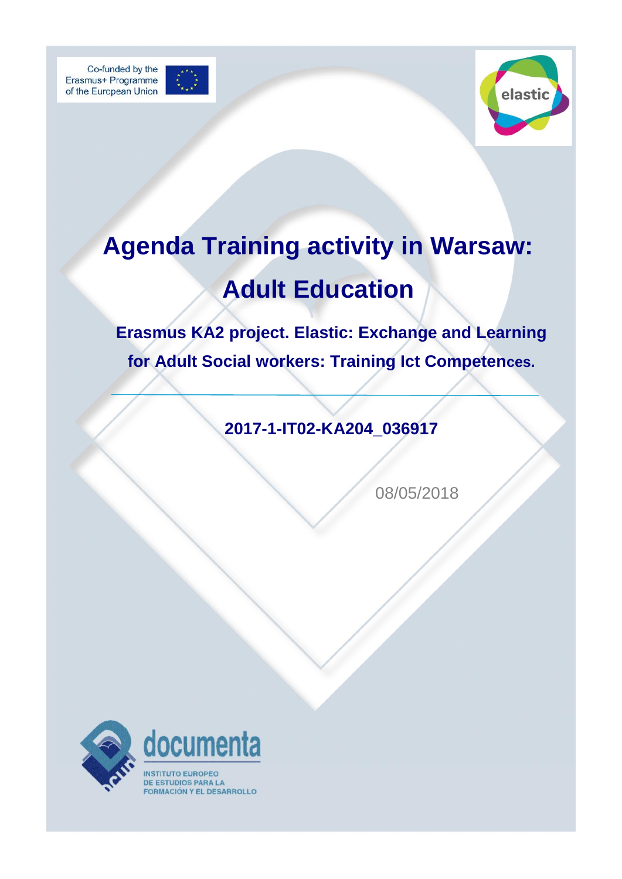



## **Agenda Training activity in Warsaw: Adult Education**

**Erasmus KA2 project. Elastic: Exchange and Learning for Adult Social workers: Training Ict Competences.** 

**2017-1-IT02-KA204\_036917**

08/05/2018

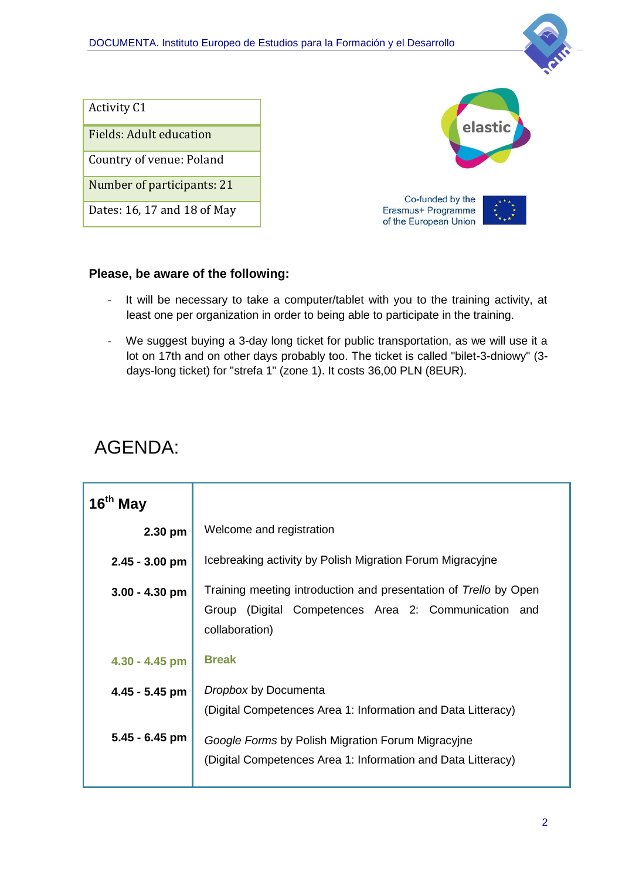

| <b>Activity C1</b>             |                                             |
|--------------------------------|---------------------------------------------|
| <b>Fields: Adult education</b> | elastic                                     |
| Country of venue: Poland       |                                             |
| Number of participants: 21     | Co-funded by the                            |
| Dates: 16, 17 and 18 of May    | Erasmus+ Programme<br>of the European Union |

## **Please, be aware of the following:**

- It will be necessary to take a computer/tablet with you to the training activity, at least one per organization in order to being able to participate in the training.
- We suggest buying a 3-day long ticket for public transportation, as we will use it a lot on 17th and on other days probably too. The ticket is called "bilet-3-dniowy" (3 days-long ticket) for "strefa 1" (zone 1). It costs 36,00 PLN (8EUR).

## AGENDA:

| 16 <sup>th</sup> May |                                                                                                                                               |
|----------------------|-----------------------------------------------------------------------------------------------------------------------------------------------|
| $2.30$ pm            | Welcome and registration                                                                                                                      |
| 2.45 - 3.00 pm       | Icebreaking activity by Polish Migration Forum Migracyjne                                                                                     |
| $3.00 - 4.30$ pm     | Training meeting introduction and presentation of Trello by Open<br>(Digital Competences Area 2: Communication and<br>Group<br>collaboration) |
| 4.30 - 4.45 pm       | <b>Break</b>                                                                                                                                  |
| $4.45 - 5.45$ pm     | Dropbox by Documenta<br>(Digital Competences Area 1: Information and Data Litteracy)                                                          |
| 5.45 - 6.45 pm       | Google Forms by Polish Migration Forum Migracyjne<br>(Digital Competences Area 1: Information and Data Litteracy)                             |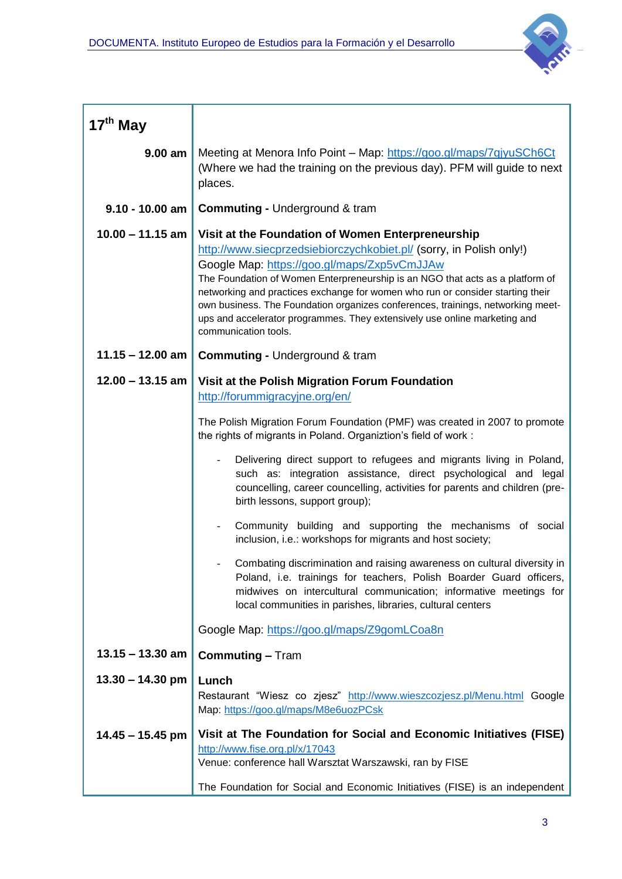

| 17 <sup>th</sup> May |                                                                                                                                                                                                                                                                                                                                                                                                                                                                                                                                    |  |
|----------------------|------------------------------------------------------------------------------------------------------------------------------------------------------------------------------------------------------------------------------------------------------------------------------------------------------------------------------------------------------------------------------------------------------------------------------------------------------------------------------------------------------------------------------------|--|
| 9.00 am              | Meeting at Menora Info Point - Map: https://goo.gl/maps/7qjyuSCh6Ct<br>(Where we had the training on the previous day). PFM will guide to next<br>places.                                                                                                                                                                                                                                                                                                                                                                          |  |
| $9.10 - 10.00$ am    | <b>Commuting - Underground &amp; tram</b>                                                                                                                                                                                                                                                                                                                                                                                                                                                                                          |  |
| $10.00 - 11.15$ am   | Visit at the Foundation of Women Enterpreneurship<br>http://www.siecprzedsiebiorczychkobiet.pl/ (sorry, in Polish only!)<br>Google Map: https://goo.gl/maps/Zxp5vCmJJAw<br>The Foundation of Women Enterpreneurship is an NGO that acts as a platform of<br>networking and practices exchange for women who run or consider starting their<br>own business. The Foundation organizes conferences, trainings, networking meet-<br>ups and accelerator programmes. They extensively use online marketing and<br>communication tools. |  |
| $11.15 - 12.00$ am   | <b>Commuting - Underground &amp; tram</b>                                                                                                                                                                                                                                                                                                                                                                                                                                                                                          |  |
| $12.00 - 13.15$ am   | Visit at the Polish Migration Forum Foundation<br>http://forummigracyjne.org/en/                                                                                                                                                                                                                                                                                                                                                                                                                                                   |  |
|                      | The Polish Migration Forum Foundation (PMF) was created in 2007 to promote<br>the rights of migrants in Poland. Organiztion's field of work:                                                                                                                                                                                                                                                                                                                                                                                       |  |
|                      | Delivering direct support to refugees and migrants living in Poland,<br>such as: integration assistance, direct psychological and legal<br>councelling, career councelling, activities for parents and children (pre-<br>birth lessons, support group);                                                                                                                                                                                                                                                                            |  |
|                      | Community building and supporting the mechanisms of social<br>inclusion, i.e.: workshops for migrants and host society;                                                                                                                                                                                                                                                                                                                                                                                                            |  |
|                      | Combating discrimination and raising awareness on cultural diversity in<br>Poland, i.e. trainings for teachers, Polish Boarder Guard officers,<br>midwives on intercultural communication; informative meetings for<br>local communities in parishes, libraries, cultural centers                                                                                                                                                                                                                                                  |  |
|                      | Google Map: https://goo.gl/maps/Z9gomLCoa8n                                                                                                                                                                                                                                                                                                                                                                                                                                                                                        |  |
| $13.15 - 13.30$ am   | <b>Commuting - Tram</b>                                                                                                                                                                                                                                                                                                                                                                                                                                                                                                            |  |
| $13.30 - 14.30$ pm   | Lunch<br>Restaurant "Wiesz co zjesz" http://www.wieszcozjesz.pl/Menu.html Google<br>Map: https://goo.gl/maps/M8e6uozPCsk                                                                                                                                                                                                                                                                                                                                                                                                           |  |
| $14.45 - 15.45$ pm   | Visit at The Foundation for Social and Economic Initiatives (FISE)<br>http://www.fise.org.pl/x/17043<br>Venue: conference hall Warsztat Warszawski, ran by FISE                                                                                                                                                                                                                                                                                                                                                                    |  |
|                      | The Foundation for Social and Economic Initiatives (FISE) is an independent                                                                                                                                                                                                                                                                                                                                                                                                                                                        |  |